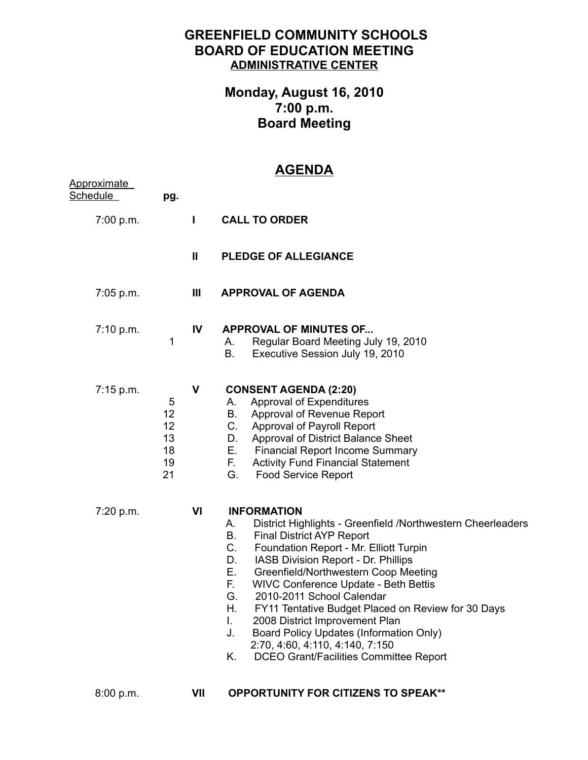## **GREENFIELD COMMUNITY SCHOOLS BOARD OF EDUCATION MEETING ADMINISTRATIVE CENTER**

## **Monday, August 16, 2010 7:00 p.m. Board Meeting**

## **AGENDA**

| Approximate<br>Schedule | pg.                                   |               |                                                                                                                                                                                                                                                                                                                                                                                                                                                                                                                                                                                                                       |
|-------------------------|---------------------------------------|---------------|-----------------------------------------------------------------------------------------------------------------------------------------------------------------------------------------------------------------------------------------------------------------------------------------------------------------------------------------------------------------------------------------------------------------------------------------------------------------------------------------------------------------------------------------------------------------------------------------------------------------------|
| 7:00 p.m.               |                                       | L             | <b>CALL TO ORDER</b>                                                                                                                                                                                                                                                                                                                                                                                                                                                                                                                                                                                                  |
|                         |                                       | $\mathbf{II}$ | <b>PLEDGE OF ALLEGIANCE</b>                                                                                                                                                                                                                                                                                                                                                                                                                                                                                                                                                                                           |
| 7:05 p.m.               |                                       | Ш             | <b>APPROVAL OF AGENDA</b>                                                                                                                                                                                                                                                                                                                                                                                                                                                                                                                                                                                             |
| 7:10 p.m.               | 1                                     | IV            | <b>APPROVAL OF MINUTES OF</b><br>Regular Board Meeting July 19, 2010<br>А.<br>В.<br>Executive Session July 19, 2010                                                                                                                                                                                                                                                                                                                                                                                                                                                                                                   |
| 7:15 p.m.               | 5<br>12<br>12<br>13<br>18<br>19<br>21 | $\mathbf{V}$  | <b>CONSENT AGENDA (2:20)</b><br>Approval of Expenditures<br>A.<br>Approval of Revenue Report<br>B.<br>$C_{\cdot}$<br>Approval of Payroll Report<br>Approval of District Balance Sheet<br>D.<br>Е.<br><b>Financial Report Income Summary</b><br>F.,<br><b>Activity Fund Financial Statement</b><br>G.<br><b>Food Service Report</b>                                                                                                                                                                                                                                                                                    |
| 7:20 p.m.               |                                       | VI            | <b>INFORMATION</b><br>District Highlights - Greenfield /Northwestern Cheerleaders<br>А.<br>Β.<br><b>Final District AYP Report</b><br>$C_{\cdot}$<br>Foundation Report - Mr. Elliott Turpin<br>D.<br>IASB Division Report - Dr. Phillips<br>Е.<br>Greenfield/Northwestern Coop Meeting<br>F.<br>WIVC Conference Update - Beth Bettis<br>2010-2011 School Calendar<br>G.<br>Η.<br>FY11 Tentative Budget Placed on Review for 30 Days<br>2008 District Improvement Plan<br>L.<br>Board Policy Updates (Information Only)<br>J.<br>2:70, 4:60, 4:110, 4:140, 7:150<br>Κ.<br><b>DCEO Grant/Facilities Committee Report</b> |

8:00 p.m.

**VII OPPORTUNITY FOR CITIZENS TO SPEAK\*\***